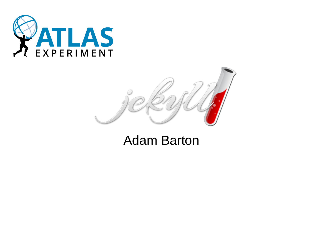



#### Adam Barton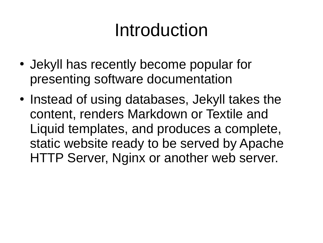### Introduction

- Jekyll has recently become popular for presenting software documentation
- Instead of using databases, Jekyll takes the content, renders Markdown or Textile and Liquid templates, and produces a complete, static website ready to be served by Apache HTTP Server, Nginx or another web server.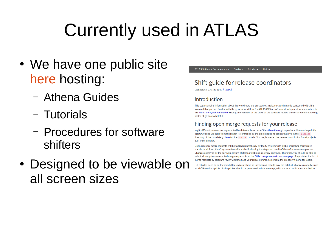## Currently used in ATLAS

- We have one public site [here](https://atlassoftwaredocs.web.cern.ch/) hosting:
	- Athena Guides
	- Tutorials
	- Procedures for software shifters
- Designed to be viewable on all screen sizes



#### Shift guide for release coordinators

Last update: 03 May 2017 [History]

#### Introduction

This page contains information about the workflows and procedures a release coordinator is concerned with. It is assumed that you are familiar with the general workflow for ATLAS Offline software development as summarised in the Workflow Quick Reference. Having an overview of the tasks of the software review shifters as well as knowing basics of git is also helpful.

#### Finding open merge requests for your release

In git, different releases are represented by different branches of the atlas/athena git repository. One subtle point is that what code we build from the branch is controlled by the project specific scripts that live in the Projects directory of the branch (e.g., here for the master branch). You are, however, the release coordinator for all projects built from a branch.

Upon creation, merge requests will be tagged automatically by the CI system with a label indicating their target branch. In addition, the CI system also adds a label indicating the stage and result of the software review process. Changes approved by the software review shifters are labeled as review-approved. Therefore, you should be able to select all ready-to-be-accepted merge requests from the Gitlab merge request overview page. Simply filter the list of merge requests by selecting review-approved and your release branch name from the dropdown menu for labels.

Full rebuilds need to be triggered after updates where an incremental rebuild may not catch all changes properly, such as a LCG version update. Such updates should be performed in late evenings, with advance notification emailed to أباد المحاوية أ the project of the company's and the company of the project of contractor and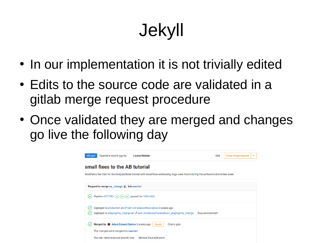# Jekyll

- In our implementation it is not trivially edited
- Edits to the source code are validated in a gitlab merge request procedure
- Once validated they are merged and changes go live the following day

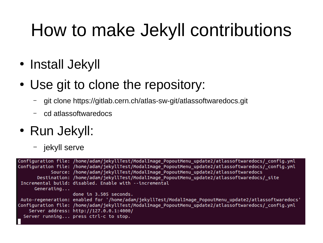### How to make Jekyll contributions

- Install Jekyll
- Use git to clone the repository:
	- git clone https://gitlab.cern.ch/atlas-sw-git/atlassoftwaredocs.git
	- cd atlassoftwaredocs
- Run Jekyll:
	- jekyll serve

|            | Configuration file: /home/adam/jekyllTest/ModalImage_PopoutMenu_update2/atlassoftwaredocs/_config.yml  |
|------------|--------------------------------------------------------------------------------------------------------|
|            | Configuration file: /home/adam/jekyllTest/ModalImage PopoutMenu update2/atlassoftwaredocs/ config.yml  |
|            | Source: /home/adam/jekyllTest/ModalImage PopoutMenu update2/atlassoftwaredocs                          |
|            | Destination: /home/adam/jekyllTest/ModalImage PopoutMenu update2/atlassoftwaredocs/ site               |
|            | Incremental build: disabled. Enable with --incremental                                                 |
| Generaling |                                                                                                        |
|            | done in 3.505 seconds.                                                                                 |
|            | Auto-regeneration: enabled for '/home/adam/jekyllTest/ModalImage_PopoutMenu_update2/atlassoftwaredocs' |
|            | Configuration file: /home/adam/jekyllTest/ModalImage PopoutMenu update2/atlassoftwaredocs/ config.yml  |
|            | Server address: http://127.0.0.1:4000/                                                                 |
|            | Server running press ctrl-c to stop.                                                                   |
|            |                                                                                                        |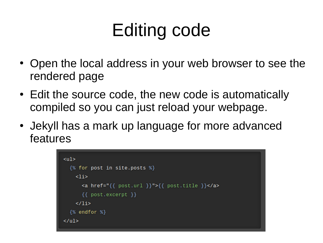# Editing code

- Open the local address in your web browser to see the rendered page
- Edit the source code, the new code is automatically compiled so you can just reload your webpage.
- Jekyll has a mark up language for more advanced features

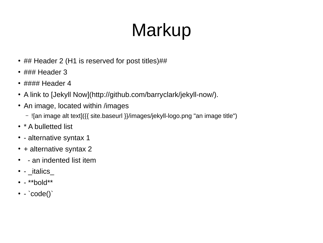# Markup

- ## Header 2 (H1 is reserved for post titles)##
- $\cdot$  ### Header 3
- $\cdot$  #### Header 4
- A link to [Jekyll Now](http://github.com/barryclark/jekyll-now/).
- An image, located within /images
	- ![an image alt text]({{ site.baseurl }}/images/jekyll-logo.png "an image title")
- \* A bulletted list
- - alternative syntax 1
- $\cdot$  + alternative syntax 2
- - an indented list item
- $\cdot$  \_italics\_
- $\bullet$  \*\*bold\*\*
- $\cdot$  `code()`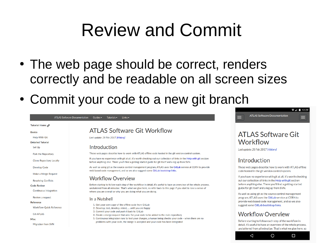#### Review and Commit

- The web page should be correct, renders correctly and be readable on all screen sizes
- Commit your code to a new git branch





 $\overline{\bullet}$   $\overline{\bullet}$  12:29

#### **ATI AS Software Git** Workflow

Last update: 28 Feb 2017 [History]

#### Introduction

These web pages describe how to work with ATLAS offline code hosted in the git version control system.

If you have no experience with git at all, it's worth checking out our collection of links in the Help with git section before anything else. There you'll find a getting started guide for git itself and a leg up from SVN.

As well as using git as the source control management program, ATLAS uses the GitLab service at CERN to provide web based code management, and so we also suggest some GitLab bootstrap links.

#### **Workflow Overview**

 $\triangleleft$ 

Before starting to follow each step of the workflow in detail, it's useful to have an overview of the whole process, uncluttered from all minutiae. That's what we give here, so

 $\bigcirc$ 

 $\Box$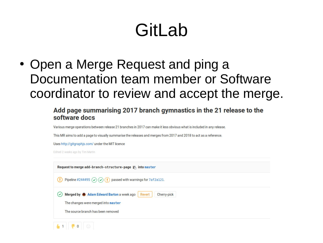## Gitl ab

• Open a Merge Request and ping a Documentation team member or Software coordinator to review and accept the merge.

#### Add page summarising 2017 branch gymnastics in the 21 release to the software docs

Various merge operations between release 21 branches in 2017 can make it less obvious what is included in any release.

This MR aims to add a page to visually summarise the releases and merges from 2017 and 2018 to act as a reference.

Uses http://gitgraphjs.com/ under the MIT licence

Edited 2 weeks ago by Tim Martin